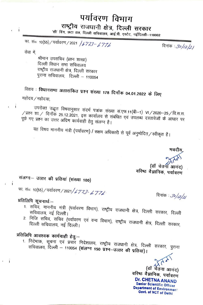## पर्यावरण विभाग राष्ट्रीय राजधानी क्षेत्र, दिल्ली सरकार 'सी' विंग, छटा तल, दिल्ली सचिवालय, आई.पी. एस्टेट, नईदिल्ली-110002

फा. सं०: 10(55) / पर्यावरण / 2021 *| 6 7 73 - 6 7 7 6* 

दिनांक : *3०/1*2/2/

सेवा में

 $\mathbf{i}$ 

 $\mathbf{i}$ 

 $\mathbf{i}$ 

 $\mathbf{i}$ 

श्रीमान उपसचिव (प्रश्न शाखा) दिल्ली विधान सभा सचिवालय राष्ट्रीय राजधानी क्षेत्र, दिल्ली सरकार पुराना सचिवालय, दिल्ली – 110054

विशय : विधानसभा अतारांकित प्रश्न संख्या 178 दिनाँक 04.01.2022 के लिए महोदय / महोदया,

उपरोक्त उद्धृत विषयानुसार सदर्भ पत्रांक संख्या स.एफ.11(बी–1) VI / 2020–25 / वि.स.स.  $\sqrt{$ प्रश्न शा  $\angle$  दिनाँक 25.12.2021, इस कार्यालय से संबंधित एवं उपलब्ध दस्तावेजों के आधार पर पूछे गए प्रश्न का उत्तर अग्रिम कार्यवाही हेतु संलग्न है।

यह विषय माननीय मंत्री (पर्यावरण) / सक्षम अधिकारी से पूर्व अनुमोदित / स्वीकृत है।

भवदीय वरिष्ठ वैज्ञानिक, पर्यावरण

दिनांक : *36|<sub>12|21</sub>* 

संलग्नः- उत्तर की प्रतियां (संख्या 100)

फा. सं०: 10(55) / पर्यावरण / 2021 / 6 773 - 6 776

## प्रतिलिपि सूचनार्थः-

- .. . . . .<br>1. सचिव, माननीय मंत्री (पर्यावरण विभाग), राष्ट्रीय राजधानी क्षेत्र, दिल्ली सरकार, दिल्ली सचिवालय, नई दिल्ली।
- दिल्ली सचिवालय, नई दिल्ली।

## प्रतिलिपि आवश्यक कार्यवाही हेतुः—

सचिवालय, दिल्ली - 110054 (संलग्न 150 प्रश्न-उत्तर की प्रतियां)।

(डॉ र्वेतना आनंद) वरिष्ठ वैज्ञानिक, पर्यावरण **Dr. CHETNA ANAND Senior Scientific Officer Department of Environment Govt. of NCT of Delhi**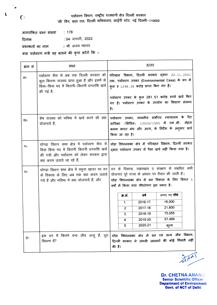पर्यावरण विभाग, राष्ट्रीय राजधानी क्षेत्र दिल्ली सरकार 'सी' विंग, छठा तल, दिल्ली सचिवालय, आईपी स्टेट, नई दिल्ली-110002

अतारांकित प्रश्न संख्या  $: 178$ : 04 जनवरी, 2022 दिनांक : श्री अजय महावर प्रश्नकर्ता का नाम क्या पर्यावरण मंत्री यह बताने की कृपा करेंगे कि :-

| क्रम सं | प्रश्न                                                                                                                                                          | उत्तर                                                                                                                                                                                                                                                      |  |  |
|---------|-----------------------------------------------------------------------------------------------------------------------------------------------------------------|------------------------------------------------------------------------------------------------------------------------------------------------------------------------------------------------------------------------------------------------------------|--|--|
| क-      | पर्यावरण सैस से अब तक दिल्ली सरकार को<br>कुल कितना राजस्व प्राप्त हुआ है और इसमें से<br>किस–किस मद में कितनी–कितनी धनराशि खर्च<br>की गई है;                     | परिवहन विभाग, दिल्ली सरकार द्वारा 22.11.2021<br>तक, पर्यावरण उपकर (Environmental Cess) के रूप में<br>कुल रु 1298.38 करोड़ प्राप्त किए गए हैं।<br>पर्यावरण उपकर के कुल 281.51 करोड़ रुपये खर्च किए<br>गए हैं। पर्यावरण उपकर के उपयोग का विवरण संलग्न<br>है। |  |  |
| ख-      | शेष राजस्व को भविष्य में खर्च करने की क्या<br>योजनायें हैं;                                                                                                     | पर्यावरण उपकर, माननीय सर्वोच्च न्यायालय के रिट<br>याचिका (सिविल) 13029/1985 में एम.सी. मेहता<br>बनाम भारत संघ और अन्य, के निर्देश के अनुसार खर्च<br>किया जा रहा है।                                                                                        |  |  |
| ग-      | घोण्डा विधान सभा क्षेत्र में पर्यावरण सैस से<br>किस किस मद में कितनी कितनी धनराशि खर्च<br>की गयी और पर्यावरण को लेकर सरकार द्वारा<br>क्या कदम उठाये जा रहे हैं; | घोंडा विधानसभा क्षेत्र में परिवहन विभाग, दिल्ली सरकार<br>दवारा पर्यावरण उपकर से पैसा खर्च नहीं किया गया है।                                                                                                                                                |  |  |
| घ-      | घोण्डा विधान सभा क्षेत्र में यमुना खादर पर वन<br>के विकास के लिए अब तक क्या कदम उठाये<br>गये हैं और भविष्य में क्या योजनायें हैं; और                            | वन के विकास, रखरखाव व संरक्षण से संबधित सभी<br>योजनाएं पूरे राज्य के आधार पर तैयार की जाती हैं।<br>घोंडा विधानसभा क्षेत्र में वन विकास के लिए विगत 5<br>वर्षों में किया गया पौधरोपण इस प्रकार है:<br>लगाए गए <b>पौधे</b><br>ਰਥੀ<br>क.सं.                   |  |  |
|         |                                                                                                                                                                 | 16,000<br>2016-17<br>$\mathbf{1}$ .<br>21,800<br>2017-18<br>$\overline{2}$<br>75,055<br>2018-19<br>3.<br>57,499<br>2019-20<br>4.<br>2020-21<br>शून्य<br>5.                                                                                                 |  |  |
| ड-      | इस वन में कितने वन्य जीव जन्तु हैं, पूरा<br>विवरण दें?                                                                                                          | घोंडा विधानसभा क्षेत्र में वन एवं वन्य जीव विभाग,<br>दिल्ली सरकार ने जंगली जानवरों की कोई गिनती नहीं<br>की है।                                                                                                                                             |  |  |

**Dr. CHETNA ANAND Senior Scientific Officer Department of Environment Govt. of NCT of Delhi** 

 $194$ 

 $\bigcirc$ 

Ë